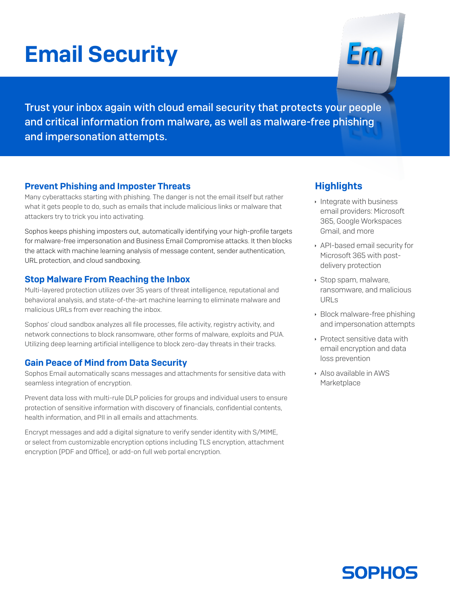# Email Security



Trust your inbox again with cloud email security that protects your people and critical information from malware, as well as malware-free phishing and impersonation attempts.

#### Prevent Phishing and Imposter Threats

Many cyberattacks starting with phishing. The danger is not the email itself but rather what it gets people to do, such as emails that include malicious links or malware that attackers try to trick you into activating.

Sophos keeps phishing imposters out, automatically identifying your high-profile targets for malware-free impersonation and Business Email Compromise attacks. It then blocks the attack with machine learning analysis of message content, sender authentication, URL protection, and cloud sandboxing.

#### Stop Malware From Reaching the Inbox

Multi-layered protection utilizes over 35 years of threat intelligence, reputational and behavioral analysis, and state-of-the-art machine learning to eliminate malware and malicious URLs from ever reaching the inbox.

Sophos' cloud sandbox analyzes all file processes, file activity, registry activity, and network connections to block ransomware, other forms of malware, exploits and PUA. Utilizing deep learning artificial intelligence to block zero-day threats in their tracks.

#### Gain Peace of Mind from Data Security

Sophos Email automatically scans messages and attachments for sensitive data with seamless integration of encryption.

Prevent data loss with multi-rule DLP policies for groups and individual users to ensure protection of sensitive information with discovery of financials, confidential contents, health information, and PII in all emails and attachments.

Encrypt messages and add a digital signature to verify sender identity with S/MIME, or select from customizable encryption options including TLS encryption, attachment encryption (PDF and Office), or add-on full web portal encryption.

#### **Highlights**

- $\cdot$  Integrate with business email providers: Microsoft 365, Google Workspaces Gmail, and more
- **API-based email security for** Microsoft 365 with postdelivery protection
- **Stop spam, malware,** ransomware, and malicious URLs
- $\cdot$  Block malware-free phishing and impersonation attempts
- $\rightarrow$  Protect sensitive data with email encryption and data loss prevention
- **Also available in AWS Marketplace**

## **SOPHOS**